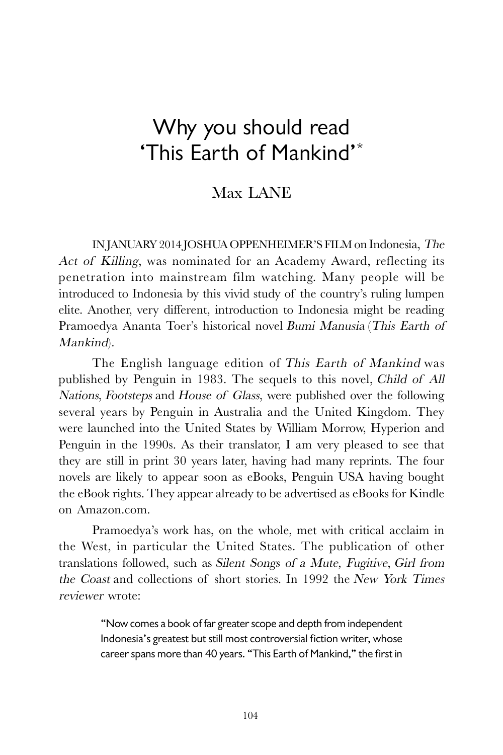## Why you should read 'This Earth of Mankind'\*

## Max LANE

IN JANUARY 2014 JOSHUA OPPENHEIMER'S FILM on Indonesia, The Act of Killing, was nominated for an Academy Award, reflecting its penetration into mainstream film watching. Many people will be introduced to Indonesia by this vivid study of the country's ruling lumpen elite. Another, very different, introduction to Indonesia might be reading Pramoedya Ananta Toer's historical novel Bumi Manusia (This Earth of Mankind).

The English language edition of This Earth of Mankind was published by Penguin in 1983. The sequels to this novel, Child of All Nations, Footsteps and House of Glass, were published over the following several years by Penguin in Australia and the United Kingdom. They were launched into the United States by William Morrow, Hyperion and Penguin in the 1990s. As their translator, I am very pleased to see that they are still in print 30 years later, having had many reprints. The four novels are likely to appear soon as eBooks, Penguin USA having bought the eBook rights. They appear already to be advertised as eBooks for Kindle on Amazon.com.

Pramoedya's work has, on the whole, met with critical acclaim in the West, in particular the United States. The publication of other translations followed, such as Silent Songs of a Mute, Fugitive, Girl from the Coast and collections of short stories. In 1992 the New York Times reviewer wrote:

> "Now comes a book of far greater scope and depth from independent Indonesia's greatest but still most controversial fiction writer, whose career spans more than 40 years. "This Earth of Mankind," the first in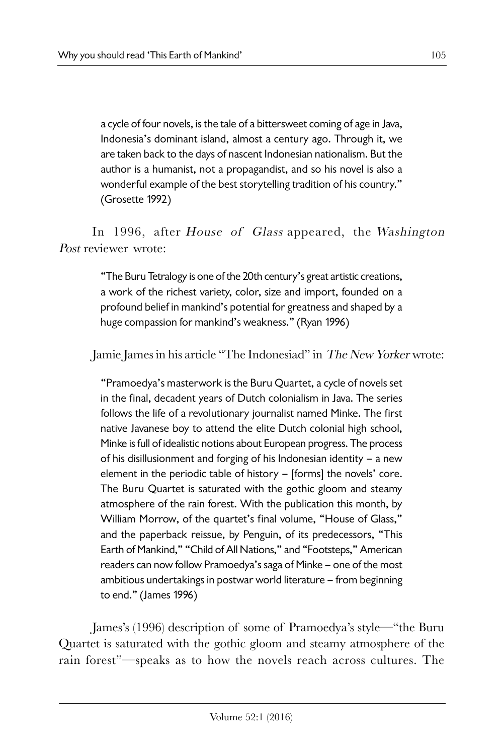a cycle of four novels, is the tale of a bittersweet coming of age in Java, Indonesia's dominant island, almost a century ago. Through it, we are taken back to the days of nascent Indonesian nationalism. But the author is a humanist, not a propagandist, and so his novel is also a wonderful example of the best storytelling tradition of his country." (Grosette 1992)

In 1996, after House of Glass appeared, the Washington Post reviewer wrote:

> "The Buru Tetralogy is one of the 20th century's great artistic creations, a work of the richest variety, color, size and import, founded on a profound belief in mankind's potential for greatness and shaped by a huge compassion for mankind's weakness." (Ryan 1996)

Jamie James in his article "The Indonesiad" in The New Yorker wrote:

"Pramoedya's masterwork is the Buru Quartet, a cycle of novels set in the final, decadent years of Dutch colonialism in Java. The series follows the life of a revolutionary journalist named Minke. The first native Javanese boy to attend the elite Dutch colonial high school, Minke is full of idealistic notions about European progress. The process of his disillusionment and forging of his Indonesian identity – a new element in the periodic table of history – [forms] the novels' core. The Buru Quartet is saturated with the gothic gloom and steamy atmosphere of the rain forest. With the publication this month, by William Morrow, of the quartet's final volume, "House of Glass," and the paperback reissue, by Penguin, of its predecessors, "This Earth of Mankind," "Child of All Nations," and "Footsteps," American readers can now follow Pramoedya's saga of Minke – one of the most ambitious undertakings in postwar world literature – from beginning to end." (James 1996)

James's (1996) description of some of Pramoedya's style—"the Buru Quartet is saturated with the gothic gloom and steamy atmosphere of the rain forest"—speaks as to how the novels reach across cultures. The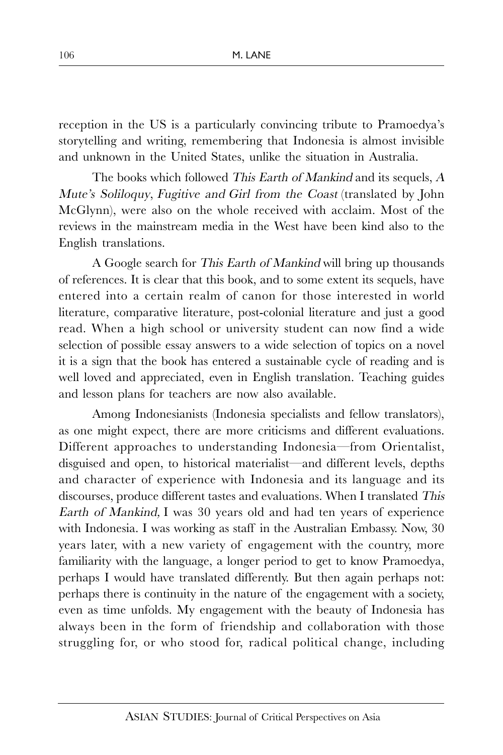reception in the US is a particularly convincing tribute to Pramoedya's storytelling and writing, remembering that Indonesia is almost invisible and unknown in the United States, unlike the situation in Australia.

The books which followed This Earth of Mankind and its sequels, <sup>A</sup> Mute's Soliloquy, Fugitive and Girl from the Coast (translated by John McGlynn), were also on the whole received with acclaim. Most of the reviews in the mainstream media in the West have been kind also to the English translations.

A Google search for This Earth of Mankind will bring up thousands of references. It is clear that this book, and to some extent its sequels, have entered into a certain realm of canon for those interested in world literature, comparative literature, post-colonial literature and just a good read. When a high school or university student can now find a wide selection of possible essay answers to a wide selection of topics on a novel it is a sign that the book has entered a sustainable cycle of reading and is well loved and appreciated, even in English translation. Teaching guides and lesson plans for teachers are now also available.

Among Indonesianists (Indonesia specialists and fellow translators), as one might expect, there are more criticisms and different evaluations. Different approaches to understanding Indonesia—from Orientalist, disguised and open, to historical materialist—and different levels, depths and character of experience with Indonesia and its language and its discourses, produce different tastes and evaluations. When I translated This Earth of Mankind, I was 30 years old and had ten years of experience with Indonesia. I was working as staff in the Australian Embassy. Now, 30 years later, with a new variety of engagement with the country, more familiarity with the language, a longer period to get to know Pramoedya, perhaps I would have translated differently. But then again perhaps not: perhaps there is continuity in the nature of the engagement with a society, even as time unfolds. My engagement with the beauty of Indonesia has always been in the form of friendship and collaboration with those struggling for, or who stood for, radical political change, including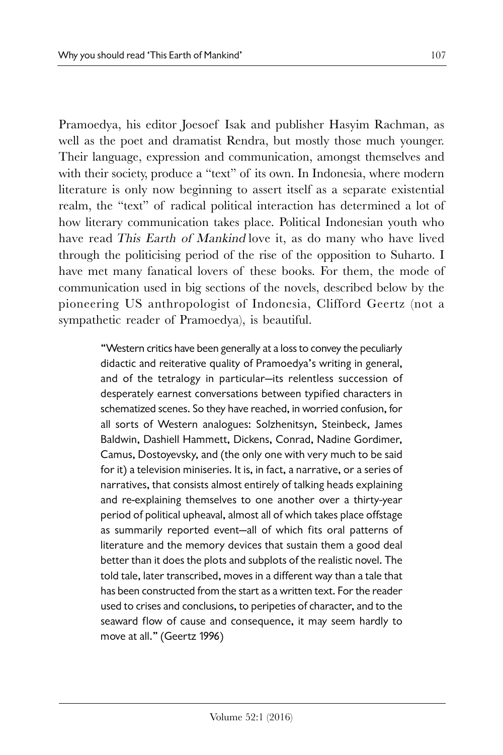Pramoedya, his editor Joesoef Isak and publisher Hasyim Rachman, as well as the poet and dramatist Rendra, but mostly those much younger. Their language, expression and communication, amongst themselves and with their society, produce a "text" of its own. In Indonesia, where modern literature is only now beginning to assert itself as a separate existential realm, the "text" of radical political interaction has determined a lot of how literary communication takes place. Political Indonesian youth who have read This Earth of Mankind love it, as do many who have lived through the politicising period of the rise of the opposition to Suharto. I have met many fanatical lovers of these books. For them, the mode of communication used in big sections of the novels, described below by the pioneering US anthropologist of Indonesia, Clifford Geertz (not a sympathetic reader of Pramoedya), is beautiful.

> "Western critics have been generally at a loss to convey the peculiarly didactic and reiterative quality of Pramoedya's writing in general, and of the tetralogy in particular—its relentless succession of desperately earnest conversations between typified characters in schematized scenes. So they have reached, in worried confusion, for all sorts of Western analogues: Solzhenitsyn, Steinbeck, James Baldwin, Dashiell Hammett, Dickens, Conrad, Nadine Gordimer, Camus, Dostoyevsky, and (the only one with very much to be said for it) a television miniseries. It is, in fact, a narrative, or a series of narratives, that consists almost entirely of talking heads explaining and re-explaining themselves to one another over a thirty-year period of political upheaval, almost all of which takes place offstage as summarily reported event—all of which fits oral patterns of literature and the memory devices that sustain them a good deal better than it does the plots and subplots of the realistic novel. The told tale, later transcribed, moves in a different way than a tale that has been constructed from the start as a written text. For the reader used to crises and conclusions, to peripeties of character, and to the seaward flow of cause and consequence, it may seem hardly to move at all." (Geertz 1996)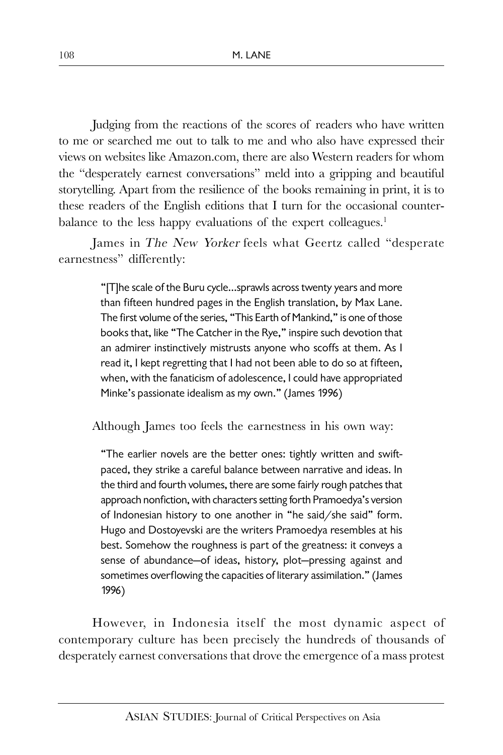Judging from the reactions of the scores of readers who have written to me or searched me out to talk to me and who also have expressed their views on websites like Amazon.com, there are also Western readers for whom the "desperately earnest conversations" meld into a gripping and beautiful storytelling. Apart from the resilience of the books remaining in print, it is to these readers of the English editions that I turn for the occasional counterbalance to the less happy evaluations of the expert colleagues.<sup>1</sup>

James in The New Yorker feels what Geertz called "desperate earnestness" differently:

> "[T]he scale of the Buru cycle…sprawls across twenty years and more than fifteen hundred pages in the English translation, by Max Lane. The first volume of the series, "This Earth of Mankind," is one of those books that, like "The Catcher in the Rye," inspire such devotion that an admirer instinctively mistrusts anyone who scoffs at them. As I read it, I kept regretting that I had not been able to do so at fifteen, when, with the fanaticism of adolescence, I could have appropriated Minke's passionate idealism as my own." (James 1996)

Although James too feels the earnestness in his own way:

"The earlier novels are the better ones: tightly written and swiftpaced, they strike a careful balance between narrative and ideas. In the third and fourth volumes, there are some fairly rough patches that approach nonfiction, with characters setting forth Pramoedya's version of Indonesian history to one another in "he said/she said" form. Hugo and Dostoyevski are the writers Pramoedya resembles at his best. Somehow the roughness is part of the greatness: it conveys a sense of abundance—of ideas, history, plot—pressing against and sometimes overflowing the capacities of literary assimilation." (James 1996)

However, in Indonesia itself the most dynamic aspect of contemporary culture has been precisely the hundreds of thousands of desperately earnest conversations that drove the emergence of a mass protest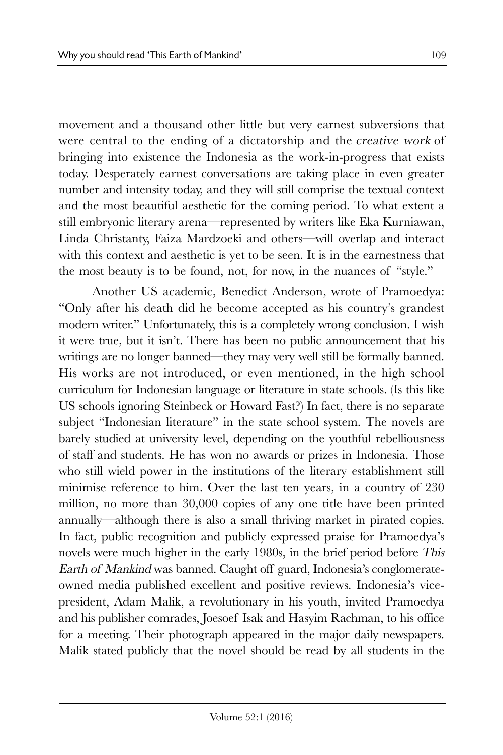movement and a thousand other little but very earnest subversions that were central to the ending of a dictatorship and the *creative work* of bringing into existence the Indonesia as the work-in-progress that exists today. Desperately earnest conversations are taking place in even greater number and intensity today, and they will still comprise the textual context and the most beautiful aesthetic for the coming period. To what extent a still embryonic literary arena—represented by writers like Eka Kurniawan, Linda Christanty, Faiza Mardzoeki and others—will overlap and interact with this context and aesthetic is yet to be seen. It is in the earnestness that the most beauty is to be found, not, for now, in the nuances of "style."

Another US academic, Benedict Anderson, wrote of Pramoedya: "Only after his death did he become accepted as his country's grandest modern writer." Unfortunately, this is a completely wrong conclusion. I wish it were true, but it isn't. There has been no public announcement that his writings are no longer banned—they may very well still be formally banned. His works are not introduced, or even mentioned, in the high school curriculum for Indonesian language or literature in state schools. (Is this like US schools ignoring Steinbeck or Howard Fast?) In fact, there is no separate subject "Indonesian literature" in the state school system. The novels are barely studied at university level, depending on the youthful rebelliousness of staff and students. He has won no awards or prizes in Indonesia. Those who still wield power in the institutions of the literary establishment still minimise reference to him. Over the last ten years, in a country of 230 million, no more than 30,000 copies of any one title have been printed annually—although there is also a small thriving market in pirated copies. In fact, public recognition and publicly expressed praise for Pramoedya's novels were much higher in the early 1980s, in the brief period before This Earth of Mankind was banned. Caught off guard, Indonesia's conglomerateowned media published excellent and positive reviews. Indonesia's vicepresident, Adam Malik, a revolutionary in his youth, invited Pramoedya and his publisher comrades, Joesoef Isak and Hasyim Rachman, to his office for a meeting. Their photograph appeared in the major daily newspapers. Malik stated publicly that the novel should be read by all students in the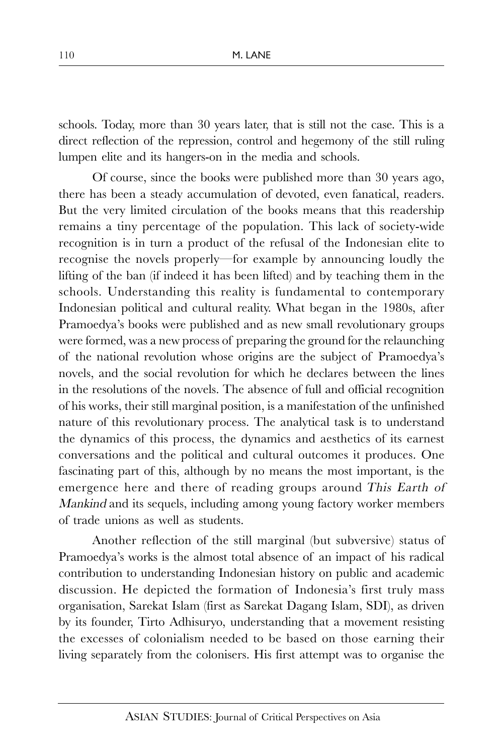schools. Today, more than 30 years later, that is still not the case. This is a direct reflection of the repression, control and hegemony of the still ruling lumpen elite and its hangers-on in the media and schools.

Of course, since the books were published more than 30 years ago, there has been a steady accumulation of devoted, even fanatical, readers. But the very limited circulation of the books means that this readership remains a tiny percentage of the population. This lack of society-wide recognition is in turn a product of the refusal of the Indonesian elite to recognise the novels properly—for example by announcing loudly the lifting of the ban (if indeed it has been lifted) and by teaching them in the schools. Understanding this reality is fundamental to contemporary Indonesian political and cultural reality. What began in the 1980s, after Pramoedya's books were published and as new small revolutionary groups were formed, was a new process of preparing the ground for the relaunching of the national revolution whose origins are the subject of Pramoedya's novels, and the social revolution for which he declares between the lines in the resolutions of the novels. The absence of full and official recognition of his works, their still marginal position, is a manifestation of the unfinished nature of this revolutionary process. The analytical task is to understand the dynamics of this process, the dynamics and aesthetics of its earnest conversations and the political and cultural outcomes it produces. One fascinating part of this, although by no means the most important, is the emergence here and there of reading groups around This Earth of Mankind and its sequels, including among young factory worker members of trade unions as well as students.

Another reflection of the still marginal (but subversive) status of Pramoedya's works is the almost total absence of an impact of his radical contribution to understanding Indonesian history on public and academic discussion. He depicted the formation of Indonesia's first truly mass organisation, Sarekat Islam (first as Sarekat Dagang Islam, SDI), as driven by its founder, Tirto Adhisuryo, understanding that a movement resisting the excesses of colonialism needed to be based on those earning their living separately from the colonisers. His first attempt was to organise the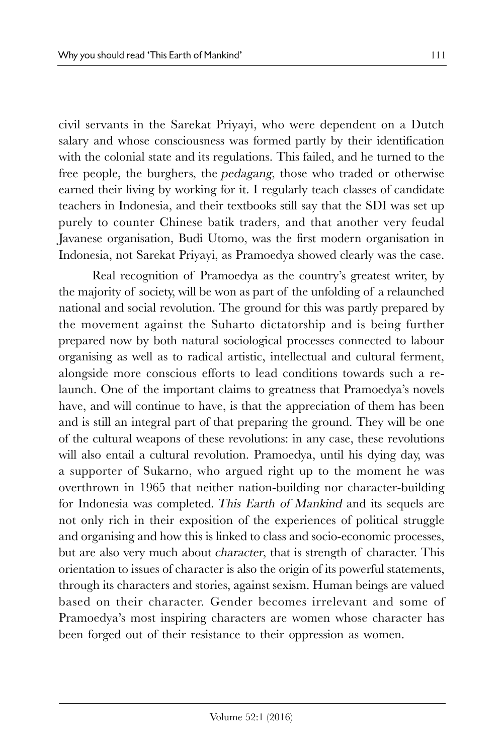civil servants in the Sarekat Priyayi, who were dependent on a Dutch salary and whose consciousness was formed partly by their identification with the colonial state and its regulations. This failed, and he turned to the free people, the burghers, the pedagang, those who traded or otherwise earned their living by working for it. I regularly teach classes of candidate teachers in Indonesia, and their textbooks still say that the SDI was set up purely to counter Chinese batik traders, and that another very feudal Javanese organisation, Budi Utomo, was the first modern organisation in Indonesia, not Sarekat Priyayi, as Pramoedya showed clearly was the case.

Real recognition of Pramoedya as the country's greatest writer, by the majority of society, will be won as part of the unfolding of a relaunched national and social revolution. The ground for this was partly prepared by the movement against the Suharto dictatorship and is being further prepared now by both natural sociological processes connected to labour organising as well as to radical artistic, intellectual and cultural ferment, alongside more conscious efforts to lead conditions towards such a relaunch. One of the important claims to greatness that Pramoedya's novels have, and will continue to have, is that the appreciation of them has been and is still an integral part of that preparing the ground. They will be one of the cultural weapons of these revolutions: in any case, these revolutions will also entail a cultural revolution. Pramoedya, until his dying day, was a supporter of Sukarno, who argued right up to the moment he was overthrown in 1965 that neither nation-building nor character-building for Indonesia was completed. This Earth of Mankind and its sequels are not only rich in their exposition of the experiences of political struggle and organising and how this is linked to class and socio-economic processes, but are also very much about character, that is strength of character. This orientation to issues of character is also the origin of its powerful statements, through its characters and stories, against sexism. Human beings are valued based on their character. Gender becomes irrelevant and some of Pramoedya's most inspiring characters are women whose character has been forged out of their resistance to their oppression as women.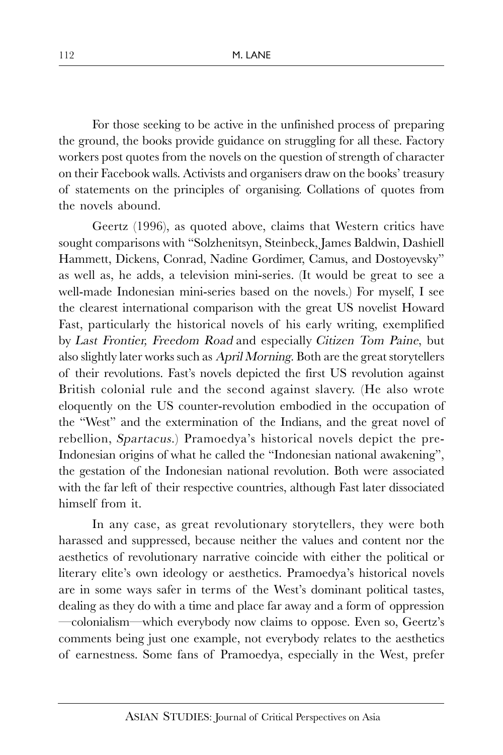For those seeking to be active in the unfinished process of preparing the ground, the books provide guidance on struggling for all these. Factory workers post quotes from the novels on the question of strength of character on their Facebook walls. Activists and organisers draw on the books' treasury of statements on the principles of organising. Collations of quotes from the novels abound.

Geertz (1996), as quoted above, claims that Western critics have sought comparisons with "Solzhenitsyn, Steinbeck, James Baldwin, Dashiell Hammett, Dickens, Conrad, Nadine Gordimer, Camus, and Dostoyevsky" as well as, he adds, a television mini-series. (It would be great to see a well-made Indonesian mini-series based on the novels.) For myself, I see the clearest international comparison with the great US novelist Howard Fast, particularly the historical novels of his early writing, exemplified by Last Frontier, Freedom Road and especially Citizen Tom Paine, but also slightly later works such as April Morning. Both are the great storytellers of their revolutions. Fast's novels depicted the first US revolution against British colonial rule and the second against slavery. (He also wrote eloquently on the US counter-revolution embodied in the occupation of the "West" and the extermination of the Indians, and the great novel of rebellion, Spartacus.) Pramoedya's historical novels depict the pre-Indonesian origins of what he called the "Indonesian national awakening", the gestation of the Indonesian national revolution. Both were associated with the far left of their respective countries, although Fast later dissociated himself from it.

In any case, as great revolutionary storytellers, they were both harassed and suppressed, because neither the values and content nor the aesthetics of revolutionary narrative coincide with either the political or literary elite's own ideology or aesthetics. Pramoedya's historical novels are in some ways safer in terms of the West's dominant political tastes, dealing as they do with a time and place far away and a form of oppression —colonialism—which everybody now claims to oppose. Even so, Geertz's comments being just one example, not everybody relates to the aesthetics of earnestness. Some fans of Pramoedya, especially in the West, prefer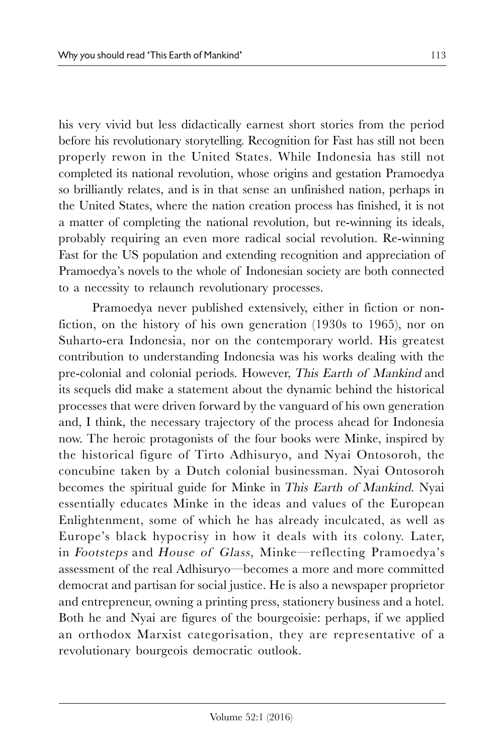his very vivid but less didactically earnest short stories from the period before his revolutionary storytelling. Recognition for Fast has still not been properly rewon in the United States. While Indonesia has still not completed its national revolution, whose origins and gestation Pramoedya so brilliantly relates, and is in that sense an unfinished nation, perhaps in the United States, where the nation creation process has finished, it is not a matter of completing the national revolution, but re-winning its ideals, probably requiring an even more radical social revolution. Re-winning Fast for the US population and extending recognition and appreciation of Pramoedya's novels to the whole of Indonesian society are both connected to a necessity to relaunch revolutionary processes.

Pramoedya never published extensively, either in fiction or nonfiction, on the history of his own generation (1930s to 1965), nor on Suharto-era Indonesia, nor on the contemporary world. His greatest contribution to understanding Indonesia was his works dealing with the pre-colonial and colonial periods. However, This Earth of Mankind and its sequels did make a statement about the dynamic behind the historical processes that were driven forward by the vanguard of his own generation and, I think, the necessary trajectory of the process ahead for Indonesia now. The heroic protagonists of the four books were Minke, inspired by the historical figure of Tirto Adhisuryo, and Nyai Ontosoroh, the concubine taken by a Dutch colonial businessman. Nyai Ontosoroh becomes the spiritual guide for Minke in This Earth of Mankind. Nyai essentially educates Minke in the ideas and values of the European Enlightenment, some of which he has already inculcated, as well as Europe's black hypocrisy in how it deals with its colony. Later, in Footsteps and House of Glass, Minke—reflecting Pramoedya's assessment of the real Adhisuryo—becomes a more and more committed democrat and partisan for social justice. He is also a newspaper proprietor and entrepreneur, owning a printing press, stationery business and a hotel. Both he and Nyai are figures of the bourgeoisie: perhaps, if we applied an orthodox Marxist categorisation, they are representative of a revolutionary bourgeois democratic outlook.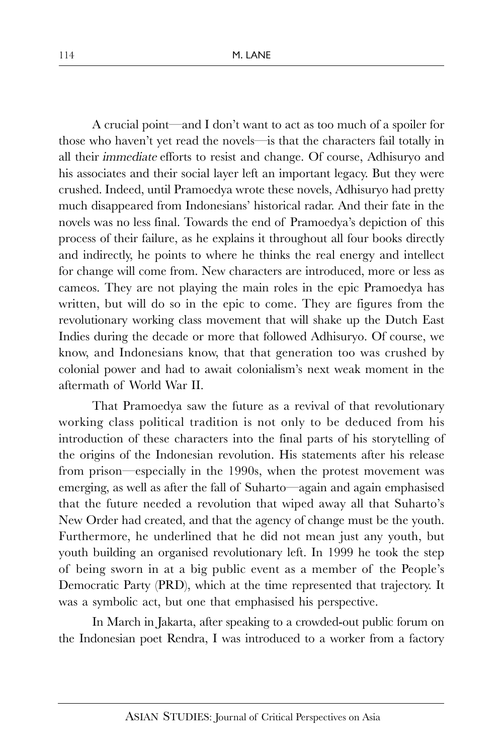A crucial point—and I don't want to act as too much of a spoiler for those who haven't yet read the novels—is that the characters fail totally in all their immediate efforts to resist and change. Of course, Adhisuryo and his associates and their social layer left an important legacy. But they were crushed. Indeed, until Pramoedya wrote these novels, Adhisuryo had pretty much disappeared from Indonesians' historical radar. And their fate in the novels was no less final. Towards the end of Pramoedya's depiction of this process of their failure, as he explains it throughout all four books directly and indirectly, he points to where he thinks the real energy and intellect for change will come from. New characters are introduced, more or less as cameos. They are not playing the main roles in the epic Pramoedya has written, but will do so in the epic to come. They are figures from the revolutionary working class movement that will shake up the Dutch East Indies during the decade or more that followed Adhisuryo. Of course, we know, and Indonesians know, that that generation too was crushed by colonial power and had to await colonialism's next weak moment in the aftermath of World War II.

That Pramoedya saw the future as a revival of that revolutionary working class political tradition is not only to be deduced from his introduction of these characters into the final parts of his storytelling of the origins of the Indonesian revolution. His statements after his release from prison—especially in the 1990s, when the protest movement was emerging, as well as after the fall of Suharto—again and again emphasised that the future needed a revolution that wiped away all that Suharto's New Order had created, and that the agency of change must be the youth. Furthermore, he underlined that he did not mean just any youth, but youth building an organised revolutionary left. In 1999 he took the step of being sworn in at a big public event as a member of the People's Democratic Party (PRD), which at the time represented that trajectory. It was a symbolic act, but one that emphasised his perspective.

In March in Jakarta, after speaking to a crowded-out public forum on the Indonesian poet Rendra, I was introduced to a worker from a factory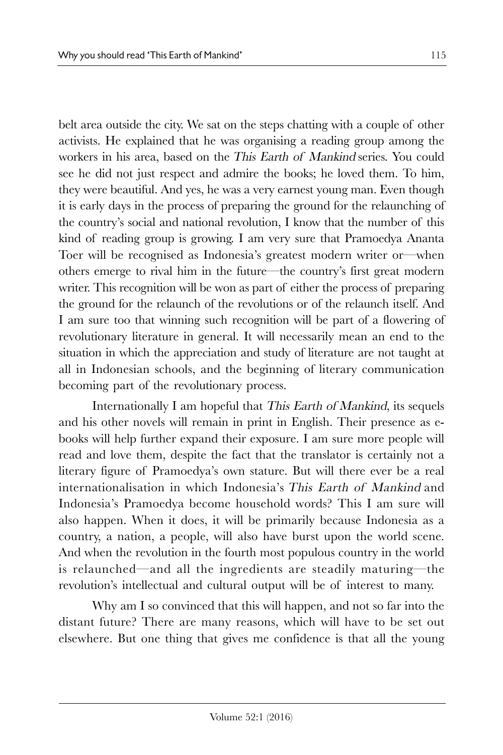belt area outside the city. We sat on the steps chatting with a couple of other activists. He explained that he was organising a reading group among the workers in his area, based on the This Earth of Mankind series. You could see he did not just respect and admire the books; he loved them. To him, they were beautiful. And yes, he was a very earnest young man. Even though it is early days in the process of preparing the ground for the relaunching of the country's social and national revolution, I know that the number of this kind of reading group is growing. I am very sure that Pramoedya Ananta Toer will be recognised as Indonesia's greatest modern writer or—when others emerge to rival him in the future—the country's first great modern writer. This recognition will be won as part of either the process of preparing the ground for the relaunch of the revolutions or of the relaunch itself. And I am sure too that winning such recognition will be part of a flowering of revolutionary literature in general. It will necessarily mean an end to the situation in which the appreciation and study of literature are not taught at all in Indonesian schools, and the beginning of literary communication becoming part of the revolutionary process.

Internationally I am hopeful that This Earth of Mankind, its sequels and his other novels will remain in print in English. Their presence as ebooks will help further expand their exposure. I am sure more people will read and love them, despite the fact that the translator is certainly not a literary figure of Pramoedya's own stature. But will there ever be a real internationalisation in which Indonesia's This Earth of Mankind and Indonesia's Pramoedya become household words? This I am sure will also happen. When it does, it will be primarily because Indonesia as a country, a nation, a people, will also have burst upon the world scene. And when the revolution in the fourth most populous country in the world is relaunched—and all the ingredients are steadily maturing—the revolution's intellectual and cultural output will be of interest to many.

Why am I so convinced that this will happen, and not so far into the distant future? There are many reasons, which will have to be set out elsewhere. But one thing that gives me confidence is that all the young